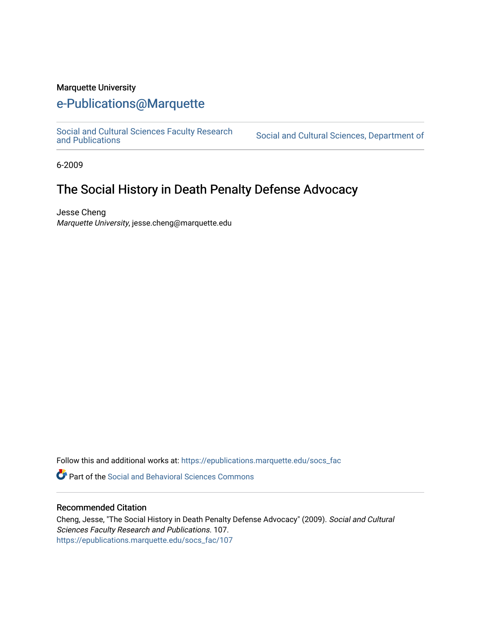#### Marquette University

### [e-Publications@Marquette](https://epublications.marquette.edu/)

[Social and Cultural Sciences Faculty Research](https://epublications.marquette.edu/socs_fac)<br>and Publications

Social and Cultural Sciences, Department of

6-2009

# The Social History in Death Penalty Defense Advocacy

Jesse Cheng Marquette University, jesse.cheng@marquette.edu

Follow this and additional works at: [https://epublications.marquette.edu/socs\\_fac](https://epublications.marquette.edu/socs_fac?utm_source=epublications.marquette.edu%2Fsocs_fac%2F107&utm_medium=PDF&utm_campaign=PDFCoverPages)

**P** Part of the Social and Behavioral Sciences Commons

#### Recommended Citation

Cheng, Jesse, "The Social History in Death Penalty Defense Advocacy" (2009). Social and Cultural Sciences Faculty Research and Publications. 107. [https://epublications.marquette.edu/socs\\_fac/107](https://epublications.marquette.edu/socs_fac/107?utm_source=epublications.marquette.edu%2Fsocs_fac%2F107&utm_medium=PDF&utm_campaign=PDFCoverPages)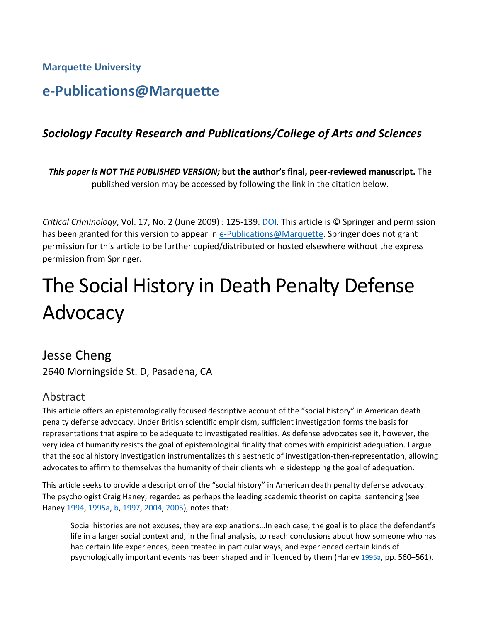**Marquette University**

# **e-Publications@Marquette**

### *Sociology Faculty Research and Publications/College of Arts and Sciences*

*This paper is NOT THE PUBLISHED VERSION;* **but the author's final, peer-reviewed manuscript.** The published version may be accessed by following the link in the citation below.

*Critical Criminology*, Vol. 17, No. 2 (June 2009) : 125-139. [DOI.](https://doi.org/10.1007/s10612-009-9076-x) This article is © Springer and permission has been granted for this version to appear in [e-Publications@Marquette.](http://epublications.marquette.edu/) Springer does not grant permission for this article to be further copied/distributed or hosted elsewhere without the express permission from Springer.

# The Social History in Death Penalty Defense Advocacy

Jesse Cheng 2640 Morningside St. D, Pasadena, CA

### Abstract

This article offers an epistemologically focused descriptive account of the "social history" in American death penalty defense advocacy. Under British scientific empiricism, sufficient investigation forms the basis for representations that aspire to be adequate to investigated realities. As defense advocates see it, however, the very idea of humanity resists the goal of epistemological finality that comes with empiricist adequation. I argue that the social history investigation instrumentalizes this aesthetic of investigation-then-representation, allowing advocates to affirm to themselves the humanity of their clients while sidestepping the goal of adequation.

This article seeks to provide a description of the "social history" in American death penalty defense advocacy. The psychologist Craig Haney, regarded as perhaps the leading academic theorist on capital sentencing (see Haney [1994,](https://link.springer.com/article/10.1007/s10612-009-9076-x#ref-CR22) [1995a,](https://link.springer.com/article/10.1007/s10612-009-9076-x#ref-CR23) [b,](https://link.springer.com/article/10.1007/s10612-009-9076-x#ref-CR24) [1997,](https://link.springer.com/article/10.1007/s10612-009-9076-x#ref-CR25) [2004,](https://link.springer.com/article/10.1007/s10612-009-9076-x#ref-CR26) [2005\)](https://link.springer.com/article/10.1007/s10612-009-9076-x#ref-CR27), notes that:

Social histories are not excuses, they are explanations…In each case, the goal is to place the defendant's life in a larger social context and, in the final analysis, to reach conclusions about how someone who has had certain life experiences, been treated in particular ways, and experienced certain kinds of psychologically important events has been shaped and influenced by them (Haney [1995a,](https://link.springer.com/article/10.1007/s10612-009-9076-x#ref-CR23) pp. 560–561).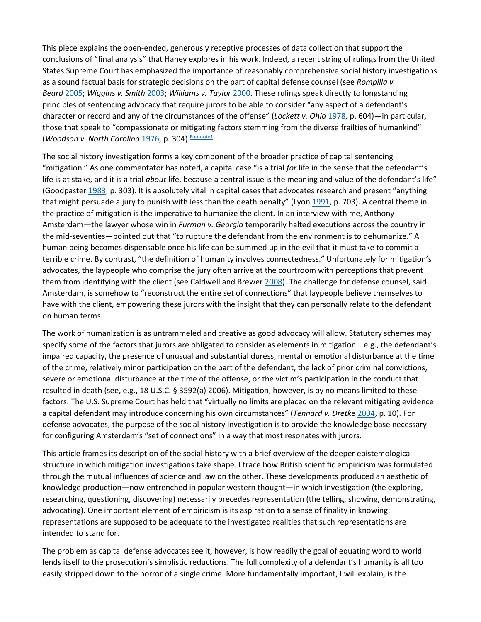This piece explains the open-ended, generously receptive processes of data collection that support the conclusions of "final analysis" that Haney explores in his work. Indeed, a recent string of rulings from the United States Supreme Court has emphasized the importance of reasonably comprehensive social history investigations as a sound factual basis for strategic decisions on the part of capital defense counsel (see *Rompilla v. Beard* [2005;](https://link.springer.com/article/10.1007/s10612-009-9076-x#ref-CR55) *Wiggins v. Smith* [2003;](https://link.springer.com/article/10.1007/s10612-009-9076-x#ref-CR57) *Williams v. Taylor* [2000.](https://link.springer.com/article/10.1007/s10612-009-9076-x#ref-CR58) These rulings speak directly to longstanding principles of sentencing advocacy that require jurors to be able to consider "any aspect of a defendant's character or record and any of the circumstances of the offense" (*Lockett v. Ohio* [1978,](https://link.springer.com/article/10.1007/s10612-009-9076-x#ref-CR54) p. 604)—in particular, those that speak to "compassionate or mitigating factors stemming from the diverse frailties of humankind" (*Woodson v. North Carolina* [1976,](https://link.springer.com/article/10.1007/s10612-009-9076-x#ref-CR59) p. 304). Footnote1

The social history investigation forms a key component of the broader practice of capital sentencing "mitigation." As one commentator has noted, a capital case "is a trial *for* life in the sense that the defendant's life is at stake, and it is a trial *about* life, because a central issue is the meaning and value of the defendant's life" (Goodpaster [1983,](https://link.springer.com/article/10.1007/s10612-009-9076-x#ref-CR21) p. 303). It is absolutely vital in capital cases that advocates research and present "anything that might persuade a jury to punish with less than the death penalty" (Lyon [1991,](https://link.springer.com/article/10.1007/s10612-009-9076-x#ref-CR37) p. 703). A central theme in the practice of mitigation is the imperative to humanize the client. In an interview with me, Anthony Amsterdam—the lawyer whose win in *Furman v. Georgia* temporarily halted executions across the country in the mid-seventies—pointed out that "to rupture the defendant from the environment is to dehumanize." A human being becomes dispensable once his life can be summed up in the evil that it must take to commit a terrible crime. By contrast, "the definition of humanity involves connectedness." Unfortunately for mitigation's advocates, the laypeople who comprise the jury often arrive at the courtroom with perceptions that prevent them from identifying with the client (see Caldwell and Brewer [2008\)](https://link.springer.com/article/10.1007/s10612-009-9076-x#ref-CR10). The challenge for defense counsel, said Amsterdam, is somehow to "reconstruct the entire set of connections" that laypeople believe themselves to have with the client, empowering these jurors with the insight that they can personally relate to the defendant on human terms.

The work of humanization is as untrammeled and creative as good advocacy will allow. Statutory schemes may specify some of the factors that jurors are obligated to consider as elements in mitigation—e.g., the defendant's impaired capacity, the presence of unusual and substantial duress, mental or emotional disturbance at the time of the crime, relatively minor participation on the part of the defendant, the lack of prior criminal convictions, severe or emotional disturbance at the time of the offense, or the victim's participation in the conduct that resulted in death (see, e.g., 18 U.S.C. § 3592(a) 2006). Mitigation, however, is by no means limited to these factors. The U.S. Supreme Court has held that "virtually no limits are placed on the relevant mitigating evidence a capital defendant may introduce concerning his own circumstances" (*Tennard v. Dretke* [2004,](https://link.springer.com/article/10.1007/s10612-009-9076-x#ref-CR60) p. 10). For defense advocates, the purpose of the social history investigation is to provide the knowledge base necessary for configuring Amsterdam's "set of connections" in a way that most resonates with jurors.

This article frames its description of the social history with a brief overview of the deeper epistemological structure in which mitigation investigations take shape. I trace how British scientific empiricism was formulated through the mutual influences of science and law on the other. These developments produced an aesthetic of knowledge production—now entrenched in popular western thought—in which investigation (the exploring, researching, questioning, discovering) necessarily precedes representation (the telling, showing, demonstrating, advocating). One important element of empiricism is its aspiration to a sense of finality in knowing: representations are supposed to be adequate to the investigated realities that such representations are intended to stand for.

The problem as capital defense advocates see it, however, is how readily the goal of equating word to world lends itself to the prosecution's simplistic reductions. The full complexity of a defendant's humanity is all too easily stripped down to the horror of a single crime. More fundamentally important, I will explain, is the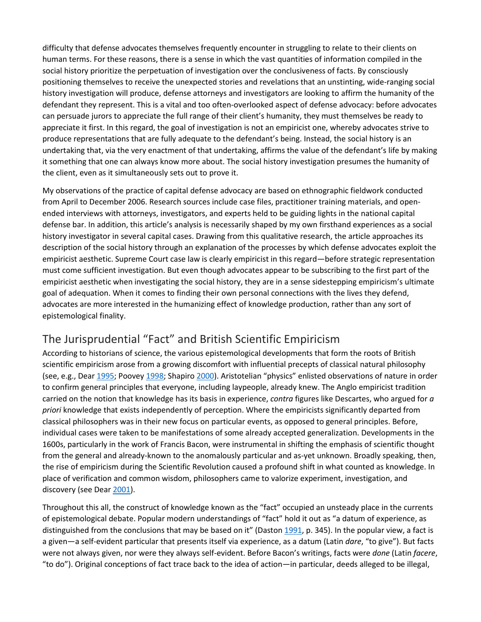difficulty that defense advocates themselves frequently encounter in struggling to relate to their clients on human terms. For these reasons, there is a sense in which the vast quantities of information compiled in the social history prioritize the perpetuation of investigation over the conclusiveness of facts. By consciously positioning themselves to receive the unexpected stories and revelations that an unstinting, wide-ranging social history investigation will produce, defense attorneys and investigators are looking to affirm the humanity of the defendant they represent. This is a vital and too often-overlooked aspect of defense advocacy: before advocates can persuade jurors to appreciate the full range of their client's humanity, they must themselves be ready to appreciate it first. In this regard, the goal of investigation is not an empiricist one, whereby advocates strive to produce representations that are fully adequate to the defendant's being. Instead, the social history is an undertaking that, via the very enactment of that undertaking, affirms the value of the defendant's life by making it something that one can always know more about. The social history investigation presumes the humanity of the client, even as it simultaneously sets out to prove it.

My observations of the practice of capital defense advocacy are based on ethnographic fieldwork conducted from April to December 2006. Research sources include case files, practitioner training materials, and openended interviews with attorneys, investigators, and experts held to be guiding lights in the national capital defense bar. In addition, this article's analysis is necessarily shaped by my own firsthand experiences as a social history investigator in several capital cases. Drawing from this qualitative research, the article approaches its description of the social history through an explanation of the processes by which defense advocates exploit the empiricist aesthetic. Supreme Court case law is clearly empiricist in this regard—before strategic representation must come sufficient investigation. But even though advocates appear to be subscribing to the first part of the empiricist aesthetic when investigating the social history, they are in a sense sidestepping empiricism's ultimate goal of adequation. When it comes to finding their own personal connections with the lives they defend, advocates are more interested in the humanizing effect of knowledge production, rather than any sort of epistemological finality.

## The Jurisprudential "Fact" and British Scientific Empiricism

According to historians of science, the various epistemological developments that form the roots of British scientific empiricism arose from a growing discomfort with influential precepts of classical natural philosophy (see, e.g., Dear [1995;](https://link.springer.com/article/10.1007/s10612-009-9076-x#ref-CR13) Poovey [1998;](https://link.springer.com/article/10.1007/s10612-009-9076-x#ref-CR40) Shapiro [2000\)](https://link.springer.com/article/10.1007/s10612-009-9076-x#ref-CR47). Aristotelian "physics" enlisted observations of nature in order to confirm general principles that everyone, including laypeople, already knew. The Anglo empiricist tradition carried on the notion that knowledge has its basis in experience, *contra* figures like Descartes, who argued for *a priori* knowledge that exists independently of perception. Where the empiricists significantly departed from classical philosophers was in their new focus on particular events, as opposed to general principles. Before, individual cases were taken to be manifestations of some already accepted generalization. Developments in the 1600s, particularly in the work of Francis Bacon, were instrumental in shifting the emphasis of scientific thought from the general and already-known to the anomalously particular and as-yet unknown. Broadly speaking, then, the rise of empiricism during the Scientific Revolution caused a profound shift in what counted as knowledge. In place of verification and common wisdom, philosophers came to valorize experiment, investigation, and discovery (see Dear [2001\)](https://link.springer.com/article/10.1007/s10612-009-9076-x#ref-CR14).

Throughout this all, the construct of knowledge known as the "fact" occupied an unsteady place in the currents of epistemological debate. Popular modern understandings of "fact" hold it out as "a datum of experience, as distinguished from the conclusions that may be based on it" (Daston [1991,](https://link.springer.com/article/10.1007/s10612-009-9076-x#ref-CR12) p. 345). In the popular view, a fact is a given—a self-evident particular that presents itself via experience, as a datum (Latin *dare*, "to give"). But facts were not always given, nor were they always self-evident. Before Bacon's writings, facts were *done* (Latin *facere*, "to do"). Original conceptions of fact trace back to the idea of action—in particular, deeds alleged to be illegal,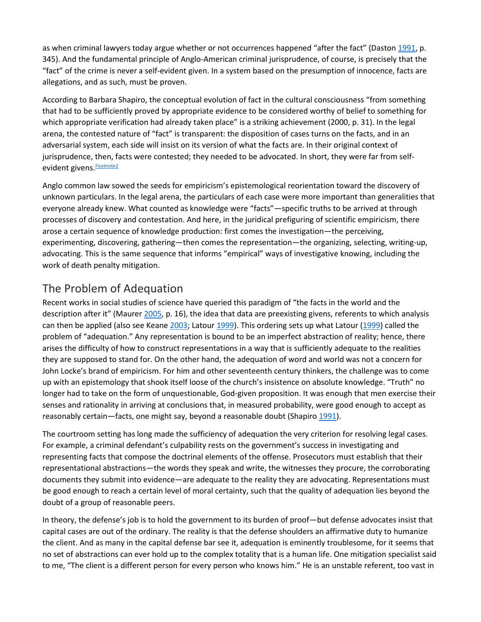as when criminal lawyers today argue whether or not occurrences happened "after the fact" (Daston [1991,](https://link.springer.com/article/10.1007/s10612-009-9076-x#ref-CR12) p. 345). And the fundamental principle of Anglo-American criminal jurisprudence, of course, is precisely that the "fact" of the crime is never a self-evident given. In a system based on the presumption of innocence, facts are allegations, and as such, must be proven.

According to Barbara Shapiro, the conceptual evolution of fact in the cultural consciousness "from something that had to be sufficiently proved by appropriate evidence to be considered worthy of belief to something for which appropriate verification had already taken place" is a striking achievement (2000, p. 31). In the legal arena, the contested nature of "fact" is transparent: the disposition of cases turns on the facts, and in an adversarial system, each side will insist on its version of what the facts are. In their original context of jurisprudence, then, facts were contested; they needed to be advocated. In short, they were far from selfevident givens. Footnote2

Anglo common law sowed the seeds for empiricism's epistemological reorientation toward the discovery of unknown particulars. In the legal arena, the particulars of each case were more important than generalities that everyone already knew. What counted as knowledge were "facts"—specific truths to be arrived at through processes of discovery and contestation. And here, in the juridical prefiguring of scientific empiricism, there arose a certain sequence of knowledge production: first comes the investigation—the perceiving, experimenting, discovering, gathering—then comes the representation—the organizing, selecting, writing-up, advocating. This is the same sequence that informs "empirical" ways of investigative knowing, including the work of death penalty mitigation.

### The Problem of Adequation

Recent works in social studies of science have queried this paradigm of "the facts in the world and the description after it" (Maurer [2005,](https://link.springer.com/article/10.1007/s10612-009-9076-x#ref-CR38) p. 16), the idea that data are preexisting givens, referents to which analysis can then be applied (also see Keane [2003;](https://link.springer.com/article/10.1007/s10612-009-9076-x#ref-CR30) Latour [1999\)](https://link.springer.com/article/10.1007/s10612-009-9076-x#ref-CR35). This ordering sets up what Latour [\(1999\)](https://link.springer.com/article/10.1007/s10612-009-9076-x#ref-CR35) called the problem of "adequation." Any representation is bound to be an imperfect abstraction of reality; hence, there arises the difficulty of how to construct representations in a way that is sufficiently adequate to the realities they are supposed to stand for. On the other hand, the adequation of word and world was not a concern for John Locke's brand of empiricism. For him and other seventeenth century thinkers, the challenge was to come up with an epistemology that shook itself loose of the church's insistence on absolute knowledge. "Truth" no longer had to take on the form of unquestionable, God-given proposition. It was enough that men exercise their senses and rationality in arriving at conclusions that, in measured probability, were good enough to accept as reasonably certain—facts, one might say, beyond a reasonable doubt (Shapiro [1991\)](https://link.springer.com/article/10.1007/s10612-009-9076-x#ref-CR46).

The courtroom setting has long made the sufficiency of adequation the very criterion for resolving legal cases. For example, a criminal defendant's culpability rests on the government's success in investigating and representing facts that compose the doctrinal elements of the offense. Prosecutors must establish that their representational abstractions—the words they speak and write, the witnesses they procure, the corroborating documents they submit into evidence—are adequate to the reality they are advocating. Representations must be good enough to reach a certain level of moral certainty, such that the quality of adequation lies beyond the doubt of a group of reasonable peers.

In theory, the defense's job is to hold the government to its burden of proof—but defense advocates insist that capital cases are out of the ordinary. The reality is that the defense shoulders an affirmative duty to humanize the client. And as many in the capital defense bar see it, adequation is eminently troublesome, for it seems that no set of abstractions can ever hold up to the complex totality that is a human life. One mitigation specialist said to me, "The client is a different person for every person who knows him." He is an unstable referent, too vast in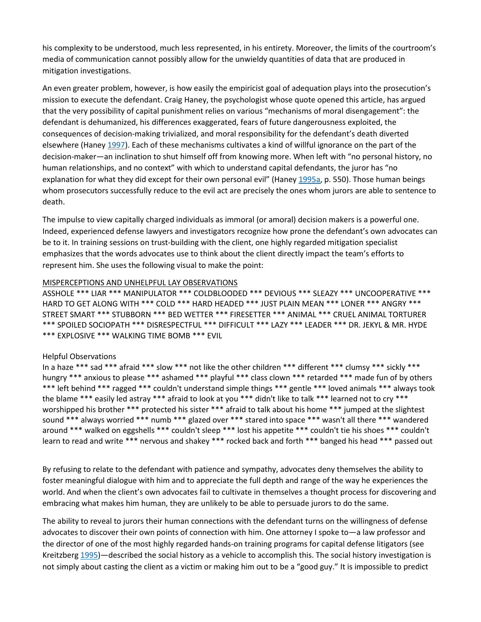his complexity to be understood, much less represented, in his entirety. Moreover, the limits of the courtroom's media of communication cannot possibly allow for the unwieldy quantities of data that are produced in mitigation investigations.

An even greater problem, however, is how easily the empiricist goal of adequation plays into the prosecution's mission to execute the defendant. Craig Haney, the psychologist whose quote opened this article, has argued that the very possibility of capital punishment relies on various "mechanisms of moral disengagement": the defendant is dehumanized, his differences exaggerated, fears of future dangerousness exploited, the consequences of decision-making trivialized, and moral responsibility for the defendant's death diverted elsewhere (Haney [1997\)](https://link.springer.com/article/10.1007/s10612-009-9076-x#ref-CR25). Each of these mechanisms cultivates a kind of willful ignorance on the part of the decision-maker—an inclination to shut himself off from knowing more. When left with "no personal history, no human relationships, and no context" with which to understand capital defendants, the juror has "no explanation for what they did except for their own personal evil" (Haney [1995a,](https://link.springer.com/article/10.1007/s10612-009-9076-x#ref-CR23) p. 550). Those human beings whom prosecutors successfully reduce to the evil act are precisely the ones whom jurors are able to sentence to death.

The impulse to view capitally charged individuals as immoral (or amoral) decision makers is a powerful one. Indeed, experienced defense lawyers and investigators recognize how prone the defendant's own advocates can be to it. In training sessions on trust-building with the client, one highly regarded mitigation specialist emphasizes that the words advocates use to think about the client directly impact the team's efforts to represent him. She uses the following visual to make the point:

#### MISPERCEPTIONS AND UNHELPFUL LAY OBSERVATIONS

ASSHOLE \*\*\* LIAR \*\*\* MANIPULATOR \*\*\* COLDBLOODED \*\*\* DEVIOUS \*\*\* SLEAZY \*\*\* UNCOOPERATIVE \*\*\* HARD TO GET ALONG WITH \*\*\* COLD \*\*\* HARD HEADED \*\*\* JUST PLAIN MEAN \*\*\* LONER \*\*\* ANGRY \*\*\* STREET SMART \*\*\* STUBBORN \*\*\* BED WETTER \*\*\* FIRESETTER \*\*\* ANIMAL \*\*\* CRUEL ANIMAL TORTURER \*\*\* SPOILED SOCIOPATH \*\*\* DISRESPECTFUL \*\*\* DIFFICULT \*\*\* LAZY \*\*\* LEADER \*\*\* DR. JEKYL & MR. HYDE \*\*\* EXPLOSIVE \*\*\* WALKING TIME BOMB \*\*\* EVIL

#### Helpful Observations

In a haze \*\*\* sad \*\*\* afraid \*\*\* slow \*\*\* not like the other children \*\*\* different \*\*\* clumsy \*\*\* sickly \*\*\* hungry \*\*\* anxious to please \*\*\* ashamed \*\*\* playful \*\*\* class clown \*\*\* retarded \*\*\* made fun of by others \*\*\* left behind \*\*\* ragged \*\*\* couldn't understand simple things \*\*\* gentle \*\*\* loved animals \*\*\* always took the blame \*\*\* easily led astray \*\*\* afraid to look at you \*\*\* didn't like to talk \*\*\* learned not to cry \*\*\* worshipped his brother \*\*\* protected his sister \*\*\* afraid to talk about his home \*\*\* jumped at the slightest sound \*\*\* always worried \*\*\* numb \*\*\* glazed over \*\*\* stared into space \*\*\* wasn't all there \*\*\* wandered around \*\*\* walked on eggshells \*\*\* couldn't sleep \*\*\* lost his appetite \*\*\* couldn't tie his shoes \*\*\* couldn't learn to read and write \*\*\* nervous and shakey \*\*\* rocked back and forth \*\*\* banged his head \*\*\* passed out

By refusing to relate to the defendant with patience and sympathy, advocates deny themselves the ability to foster meaningful dialogue with him and to appreciate the full depth and range of the way he experiences the world. And when the client's own advocates fail to cultivate in themselves a thought process for discovering and embracing what makes him human, they are unlikely to be able to persuade jurors to do the same.

The ability to reveal to jurors their human connections with the defendant turns on the willingness of defense advocates to discover their own points of connection with him. One attorney I spoke to—a law professor and the director of one of the most highly regarded hands-on training programs for capital defense litigators (see Kreitzberg [1995\)](https://link.springer.com/article/10.1007/s10612-009-9076-x#ref-CR34)—described the social history as a vehicle to accomplish this. The social history investigation is not simply about casting the client as a victim or making him out to be a "good guy." It is impossible to predict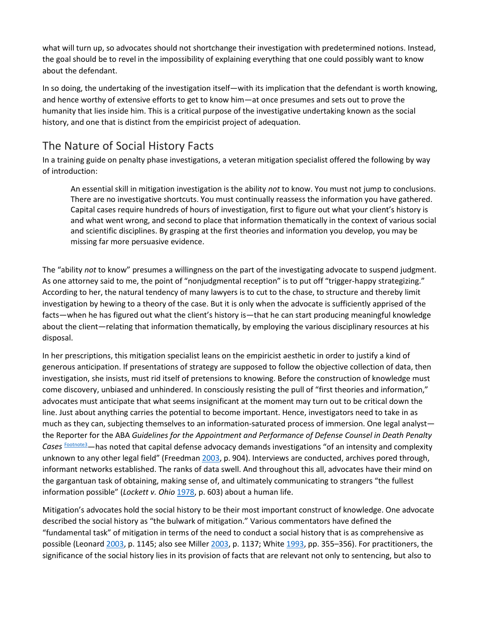what will turn up, so advocates should not shortchange their investigation with predetermined notions. Instead, the goal should be to revel in the impossibility of explaining everything that one could possibly want to know about the defendant.

In so doing, the undertaking of the investigation itself—with its implication that the defendant is worth knowing, and hence worthy of extensive efforts to get to know him—at once presumes and sets out to prove the humanity that lies inside him. This is a critical purpose of the investigative undertaking known as the social history, and one that is distinct from the empiricist project of adequation.

# The Nature of Social History Facts

In a training guide on penalty phase investigations, a veteran mitigation specialist offered the following by way of introduction:

An essential skill in mitigation investigation is the ability *not* to know. You must not jump to conclusions. There are no investigative shortcuts. You must continually reassess the information you have gathered. Capital cases require hundreds of hours of investigation, first to figure out what your client's history is and what went wrong, and second to place that information thematically in the context of various social and scientific disciplines. By grasping at the first theories and information you develop, you may be missing far more persuasive evidence.

The "ability *not* to know" presumes a willingness on the part of the investigating advocate to suspend judgment. As one attorney said to me, the point of "nonjudgmental reception" is to put off "trigger-happy strategizing." According to her, the natural tendency of many lawyers is to cut to the chase, to structure and thereby limit investigation by hewing to a theory of the case. But it is only when the advocate is sufficiently apprised of the facts—when he has figured out what the client's history is—that he can start producing meaningful knowledge about the client—relating that information thematically, by employing the various disciplinary resources at his disposal.

In her prescriptions, this mitigation specialist leans on the empiricist aesthetic in order to justify a kind of generous anticipation. If presentations of strategy are supposed to follow the objective collection of data, then investigation, she insists, must rid itself of pretensions to knowing. Before the construction of knowledge must come discovery, unbiased and unhindered. In consciously resisting the pull of "first theories and information," advocates must anticipate that what seems insignificant at the moment may turn out to be critical down the line. Just about anything carries the potential to become important. Hence, investigators need to take in as much as they can, subjecting themselves to an information-saturated process of immersion. One legal analyst the Reporter for the ABA *Guidelines for the Appointment and Performance of Defense Counsel in Death Penalty Cases* [Footnote3—](https://link.springer.com/article/10.1007/s10612-009-9076-x#Fn3)has noted that capital defense advocacy demands investigations "of an intensity and complexity unknown to any other legal field" (Freedman [2003,](https://link.springer.com/article/10.1007/s10612-009-9076-x#ref-CR18) p. 904). Interviews are conducted, archives pored through, informant networks established. The ranks of data swell. And throughout this all, advocates have their mind on the gargantuan task of obtaining, making sense of, and ultimately communicating to strangers "the fullest information possible" (*Lockett v. Ohio* [1978,](https://link.springer.com/article/10.1007/s10612-009-9076-x#ref-CR54) p. 603) about a human life.

Mitigation's advocates hold the social history to be their most important construct of knowledge. One advocate described the social history as "the bulwark of mitigation." Various commentators have defined the "fundamental task" of mitigation in terms of the need to conduct a social history that is as comprehensive as possible (Leonard [2003,](https://link.springer.com/article/10.1007/s10612-009-9076-x#ref-CR39) p. 1145; also see Miller 2003, p. 1137; White [1993,](https://link.springer.com/article/10.1007/s10612-009-9076-x#ref-CR50) pp. 355-356). For practitioners, the significance of the social history lies in its provision of facts that are relevant not only to sentencing, but also to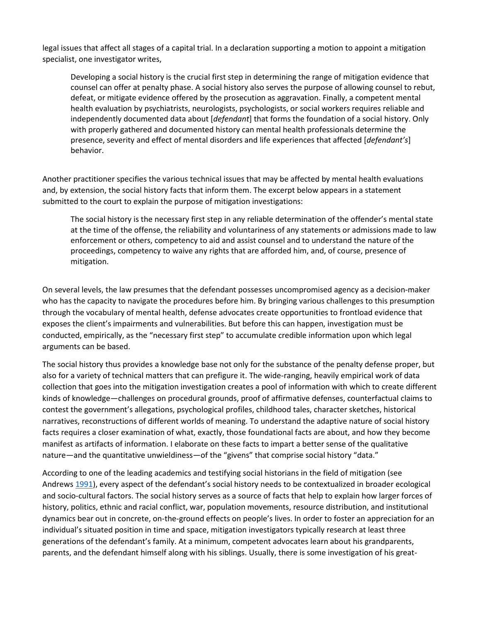legal issues that affect all stages of a capital trial. In a declaration supporting a motion to appoint a mitigation specialist, one investigator writes,

Developing a social history is the crucial first step in determining the range of mitigation evidence that counsel can offer at penalty phase. A social history also serves the purpose of allowing counsel to rebut, defeat, or mitigate evidence offered by the prosecution as aggravation. Finally, a competent mental health evaluation by psychiatrists, neurologists, psychologists, or social workers requires reliable and independently documented data about [*defendant*] that forms the foundation of a social history. Only with properly gathered and documented history can mental health professionals determine the presence, severity and effect of mental disorders and life experiences that affected [*defendant's*] behavior.

Another practitioner specifies the various technical issues that may be affected by mental health evaluations and, by extension, the social history facts that inform them. The excerpt below appears in a statement submitted to the court to explain the purpose of mitigation investigations:

The social history is the necessary first step in any reliable determination of the offender's mental state at the time of the offense, the reliability and voluntariness of any statements or admissions made to law enforcement or others, competency to aid and assist counsel and to understand the nature of the proceedings, competency to waive any rights that are afforded him, and, of course, presence of mitigation.

On several levels, the law presumes that the defendant possesses uncompromised agency as a decision-maker who has the capacity to navigate the procedures before him. By bringing various challenges to this presumption through the vocabulary of mental health, defense advocates create opportunities to frontload evidence that exposes the client's impairments and vulnerabilities. But before this can happen, investigation must be conducted, empirically, as the "necessary first step" to accumulate credible information upon which legal arguments can be based.

The social history thus provides a knowledge base not only for the substance of the penalty defense proper, but also for a variety of technical matters that can prefigure it. The wide-ranging, heavily empirical work of data collection that goes into the mitigation investigation creates a pool of information with which to create different kinds of knowledge—challenges on procedural grounds, proof of affirmative defenses, counterfactual claims to contest the government's allegations, psychological profiles, childhood tales, character sketches, historical narratives, reconstructions of different worlds of meaning. To understand the adaptive nature of social history facts requires a closer examination of what, exactly, those foundational facts are about, and how they become manifest as artifacts of information. I elaborate on these facts to impart a better sense of the qualitative nature—and the quantitative unwieldiness—of the "givens" that comprise social history "data."

According to one of the leading academics and testifying social historians in the field of mitigation (see Andrews [1991\)](https://link.springer.com/article/10.1007/s10612-009-9076-x#ref-CR3), every aspect of the defendant's social history needs to be contextualized in broader ecological and socio-cultural factors. The social history serves as a source of facts that help to explain how larger forces of history, politics, ethnic and racial conflict, war, population movements, resource distribution, and institutional dynamics bear out in concrete, on-the-ground effects on people's lives. In order to foster an appreciation for an individual's situated position in time and space, mitigation investigators typically research at least three generations of the defendant's family. At a minimum, competent advocates learn about his grandparents, parents, and the defendant himself along with his siblings. Usually, there is some investigation of his great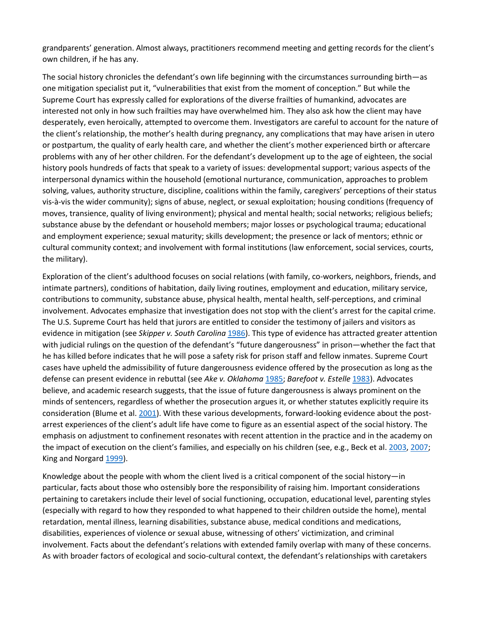grandparents' generation. Almost always, practitioners recommend meeting and getting records for the client's own children, if he has any.

The social history chronicles the defendant's own life beginning with the circumstances surrounding birth—as one mitigation specialist put it, "vulnerabilities that exist from the moment of conception." But while the Supreme Court has expressly called for explorations of the diverse frailties of humankind, advocates are interested not only in how such frailties may have overwhelmed him. They also ask how the client may have desperately, even heroically, attempted to overcome them. Investigators are careful to account for the nature of the client's relationship, the mother's health during pregnancy, any complications that may have arisen in utero or postpartum, the quality of early health care, and whether the client's mother experienced birth or aftercare problems with any of her other children. For the defendant's development up to the age of eighteen, the social history pools hundreds of facts that speak to a variety of issues: developmental support; various aspects of the interpersonal dynamics within the household (emotional nurturance, communication, approaches to problem solving, values, authority structure, discipline, coalitions within the family, caregivers' perceptions of their status vis-à-vis the wider community); signs of abuse, neglect, or sexual exploitation; housing conditions (frequency of moves, transience, quality of living environment); physical and mental health; social networks; religious beliefs; substance abuse by the defendant or household members; major losses or psychological trauma; educational and employment experience; sexual maturity; skills development; the presence or lack of mentors; ethnic or cultural community context; and involvement with formal institutions (law enforcement, social services, courts, the military).

Exploration of the client's adulthood focuses on social relations (with family, co-workers, neighbors, friends, and intimate partners), conditions of habitation, daily living routines, employment and education, military service, contributions to community, substance abuse, physical health, mental health, self-perceptions, and criminal involvement. Advocates emphasize that investigation does not stop with the client's arrest for the capital crime. The U.S. Supreme Court has held that jurors are entitled to consider the testimony of jailers and visitors as evidence in mitigation (see *Skipper v. South Carolina* [1986\)](https://link.springer.com/article/10.1007/s10612-009-9076-x#ref-CR56). This type of evidence has attracted greater attention with judicial rulings on the question of the defendant's "future dangerousness" in prison—whether the fact that he has killed before indicates that he will pose a safety risk for prison staff and fellow inmates. Supreme Court cases have upheld the admissibility of future dangerousness evidence offered by the prosecution as long as the defense can present evidence in rebuttal (see *Ake v. Oklahoma* [1985;](https://link.springer.com/article/10.1007/s10612-009-9076-x#ref-CR51) *Barefoot v. Estelle* [1983\)](https://link.springer.com/article/10.1007/s10612-009-9076-x#ref-CR52). Advocates believe, and academic research suggests, that the issue of future dangerousness is always prominent on the minds of sentencers, regardless of whether the prosecution argues it, or whether statutes explicitly require its consideration (Blume et al. [2001\)](https://link.springer.com/article/10.1007/s10612-009-9076-x#ref-CR8). With these various developments, forward-looking evidence about the postarrest experiences of the client's adult life have come to figure as an essential aspect of the social history. The emphasis on adjustment to confinement resonates with recent attention in the practice and in the academy on the impact of execution on the client's families, and especially on his children (see, e.g., Beck et al. [2003,](https://link.springer.com/article/10.1007/s10612-009-9076-x#ref-CR4) [2007;](https://link.springer.com/article/10.1007/s10612-009-9076-x#ref-CR5) King and Norgard [1999\)](https://link.springer.com/article/10.1007/s10612-009-9076-x#ref-CR31).

Knowledge about the people with whom the client lived is a critical component of the social history—in particular, facts about those who ostensibly bore the responsibility of raising him. Important considerations pertaining to caretakers include their level of social functioning, occupation, educational level, parenting styles (especially with regard to how they responded to what happened to their children outside the home), mental retardation, mental illness, learning disabilities, substance abuse, medical conditions and medications, disabilities, experiences of violence or sexual abuse, witnessing of others' victimization, and criminal involvement. Facts about the defendant's relations with extended family overlap with many of these concerns. As with broader factors of ecological and socio-cultural context, the defendant's relationships with caretakers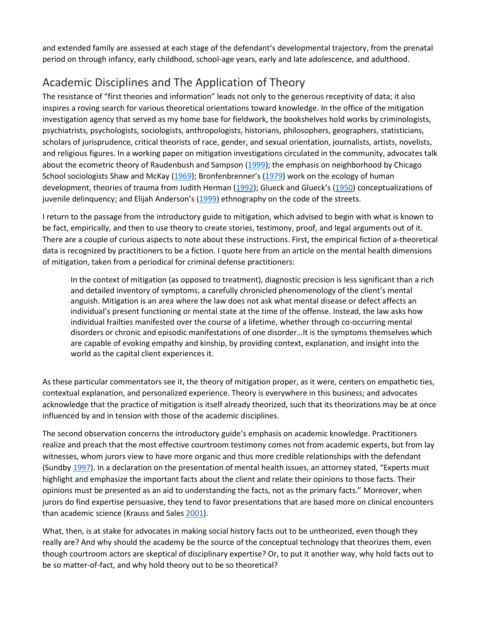and extended family are assessed at each stage of the defendant's developmental trajectory, from the prenatal period on through infancy, early childhood, school-age years, early and late adolescence, and adulthood.

# Academic Disciplines and The Application of Theory

The resistance of "first theories and information" leads not only to the generous receptivity of data; it also inspires a roving search for various theoretical orientations toward knowledge. In the office of the mitigation investigation agency that served as my home base for fieldwork, the bookshelves hold works by criminologists, psychiatrists, psychologists, sociologists, anthropologists, historians, philosophers, geographers, statisticians, scholars of jurisprudence, critical theorists of race, gender, and sexual orientation, journalists, artists, novelists, and religious figures. In a working paper on mitigation investigations circulated in the community, advocates talk about the ecometric theory of Raudenbush and Sampson [\(1999\)](https://link.springer.com/article/10.1007/s10612-009-9076-x#ref-CR41); the emphasis on neighborhood by Chicago School sociologists Shaw and McKay [\(1969\)](https://link.springer.com/article/10.1007/s10612-009-9076-x#ref-CR48); Bronfenbrenner's [\(1979\)](https://link.springer.com/article/10.1007/s10612-009-9076-x#ref-CR9) work on the ecology of human development, theories of trauma from Judith Herman [\(1992\)](https://link.springer.com/article/10.1007/s10612-009-9076-x#ref-CR28); Glueck and Glueck's [\(1950\)](https://link.springer.com/article/10.1007/s10612-009-9076-x#ref-CR20) conceptualizations of juvenile delinquency; and Elijah Anderson's [\(1999\)](https://link.springer.com/article/10.1007/s10612-009-9076-x#ref-CR2) ethnography on the code of the streets.

I return to the passage from the introductory guide to mitigation, which advised to begin with what is known to be fact, empirically, and then to use theory to create stories, testimony, proof, and legal arguments out of it. There are a couple of curious aspects to note about these instructions. First, the empirical fiction of a-theoretical data is recognized by practitioners to be a fiction. I quote here from an article on the mental health dimensions of mitigation, taken from a periodical for criminal defense practitioners:

In the context of mitigation (as opposed to treatment), diagnostic precision is less significant than a rich and detailed inventory of symptoms, a carefully chronicled phenomenology of the client's mental anguish. Mitigation is an area where the law does not ask what mental disease or defect affects an individual's present functioning or mental state at the time of the offense. Instead, the law asks how individual frailties manifested over the course of a lifetime, whether through co-occurring mental disorders or chronic and episodic manifestations of one disorder…It is the symptoms themselves which are capable of evoking empathy and kinship, by providing context, explanation, and insight into the world as the capital client experiences it.

As these particular commentators see it, the theory of mitigation proper, as it were, centers on empathetic ties, contextual explanation, and personalized experience. Theory is everywhere in this business; and advocates acknowledge that the practice of mitigation is itself already theorized, such that its theorizations may be at once influenced by and in tension with those of the academic disciplines.

The second observation concerns the introductory guide's emphasis on academic knowledge. Practitioners realize and preach that the most effective courtroom testimony comes not from academic experts, but from lay witnesses, whom jurors view to have more organic and thus more credible relationships with the defendant (Sundby [1997\)](https://link.springer.com/article/10.1007/s10612-009-9076-x#ref-CR49). In a declaration on the presentation of mental health issues, an attorney stated, "Experts must highlight and emphasize the important facts about the client and relate their opinions to those facts. Their opinions must be presented as an aid to understanding the facts, not as the primary facts." Moreover, when jurors do find expertise persuasive, they tend to favor presentations that are based more on clinical encounters than academic science (Krauss and Sales [2001\)](https://link.springer.com/article/10.1007/s10612-009-9076-x#ref-CR33).

What, then, is at stake for advocates in making social history facts out to be untheorized, even though they really are? And why should the academy be the source of the conceptual technology that theorizes them, even though courtroom actors are skeptical of disciplinary expertise? Or, to put it another way, why hold facts out to be so matter-of-fact, and why hold theory out to be so theoretical?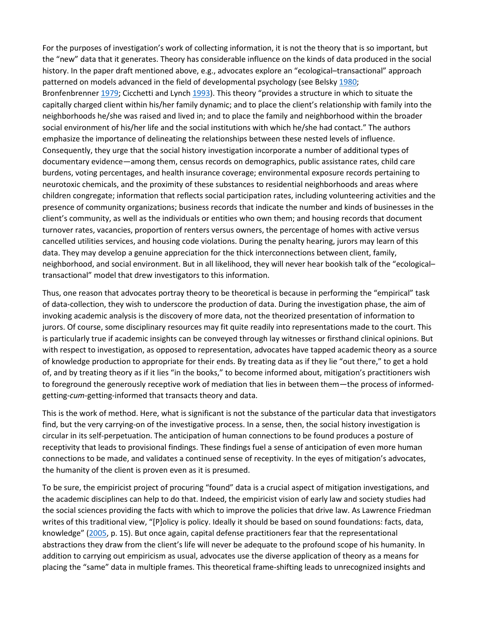For the purposes of investigation's work of collecting information, it is not the theory that is so important, but the "new" data that it generates. Theory has considerable influence on the kinds of data produced in the social history. In the paper draft mentioned above, e.g., advocates explore an "ecological–transactional" approach patterned on models advanced in the field of developmental psychology (see Belsky [1980;](https://link.springer.com/article/10.1007/s10612-009-9076-x#ref-CR6) Bronfenbrenner [1979;](https://link.springer.com/article/10.1007/s10612-009-9076-x#ref-CR9) Cicchetti and Lynch [1993\)](https://link.springer.com/article/10.1007/s10612-009-9076-x#ref-CR11). This theory "provides a structure in which to situate the capitally charged client within his/her family dynamic; and to place the client's relationship with family into the neighborhoods he/she was raised and lived in; and to place the family and neighborhood within the broader social environment of his/her life and the social institutions with which he/she had contact." The authors emphasize the importance of delineating the relationships between these nested levels of influence. Consequently, they urge that the social history investigation incorporate a number of additional types of documentary evidence—among them, census records on demographics, public assistance rates, child care burdens, voting percentages, and health insurance coverage; environmental exposure records pertaining to neurotoxic chemicals, and the proximity of these substances to residential neighborhoods and areas where children congregate; information that reflects social participation rates, including volunteering activities and the presence of community organizations; business records that indicate the number and kinds of businesses in the client's community, as well as the individuals or entities who own them; and housing records that document turnover rates, vacancies, proportion of renters versus owners, the percentage of homes with active versus cancelled utilities services, and housing code violations. During the penalty hearing, jurors may learn of this data. They may develop a genuine appreciation for the thick interconnections between client, family, neighborhood, and social environment. But in all likelihood, they will never hear bookish talk of the "ecological– transactional" model that drew investigators to this information.

Thus, one reason that advocates portray theory to be theoretical is because in performing the "empirical" task of data-collection, they wish to underscore the production of data. During the investigation phase, the aim of invoking academic analysis is the discovery of more data, not the theorized presentation of information to jurors. Of course, some disciplinary resources may fit quite readily into representations made to the court. This is particularly true if academic insights can be conveyed through lay witnesses or firsthand clinical opinions. But with respect to investigation, as opposed to representation, advocates have tapped academic theory as a source of knowledge production to appropriate for their ends. By treating data as if they lie "out there," to get a hold of, and by treating theory as if it lies "in the books," to become informed about, mitigation's practitioners wish to foreground the generously receptive work of mediation that lies in between them—the process of informedgetting-*cum*-getting-informed that transacts theory and data.

This is the work of method. Here, what is significant is not the substance of the particular data that investigators find, but the very carrying-on of the investigative process. In a sense, then, the social history investigation is circular in its self-perpetuation. The anticipation of human connections to be found produces a posture of receptivity that leads to provisional findings. These findings fuel a sense of anticipation of even more human connections to be made, and validates a continued sense of receptivity. In the eyes of mitigation's advocates, the humanity of the client is proven even as it is presumed.

To be sure, the empiricist project of procuring "found" data is a crucial aspect of mitigation investigations, and the academic disciplines can help to do that. Indeed, the empiricist vision of early law and society studies had the social sciences providing the facts with which to improve the policies that drive law. As Lawrence Friedman writes of this traditional view, "[P]olicy is policy. Ideally it should be based on sound foundations: facts, data, knowledge" [\(2005,](https://link.springer.com/article/10.1007/s10612-009-9076-x#ref-CR19) p. 15). But once again, capital defense practitioners fear that the representational abstractions they draw from the client's life will never be adequate to the profound scope of his humanity. In addition to carrying out empiricism as usual, advocates use the diverse application of theory as a means for placing the "same" data in multiple frames. This theoretical frame-shifting leads to unrecognized insights and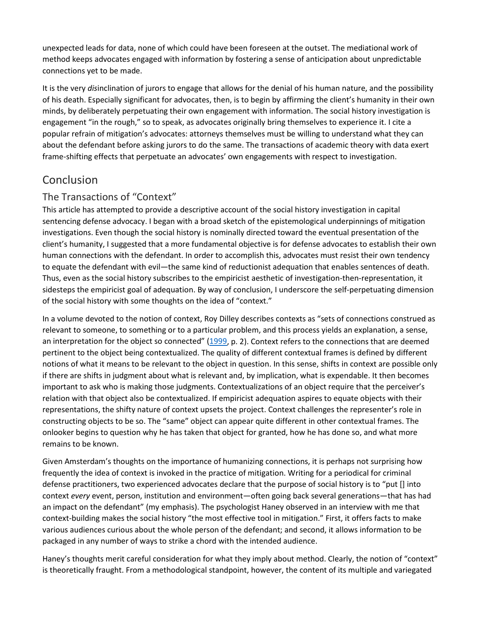unexpected leads for data, none of which could have been foreseen at the outset. The mediational work of method keeps advocates engaged with information by fostering a sense of anticipation about unpredictable connections yet to be made.

It is the very *dis*inclination of jurors to engage that allows for the denial of his human nature, and the possibility of his death. Especially significant for advocates, then, is to begin by affirming the client's humanity in their own minds, by deliberately perpetuating their own engagement with information. The social history investigation is engagement "in the rough," so to speak, as advocates originally bring themselves to experience it. I cite a popular refrain of mitigation's advocates: attorneys themselves must be willing to understand what they can about the defendant before asking jurors to do the same. The transactions of academic theory with data exert frame-shifting effects that perpetuate an advocates' own engagements with respect to investigation.

### Conclusion

### The Transactions of "Context"

This article has attempted to provide a descriptive account of the social history investigation in capital sentencing defense advocacy. I began with a broad sketch of the epistemological underpinnings of mitigation investigations. Even though the social history is nominally directed toward the eventual presentation of the client's humanity, I suggested that a more fundamental objective is for defense advocates to establish their own human connections with the defendant. In order to accomplish this, advocates must resist their own tendency to equate the defendant with evil—the same kind of reductionist adequation that enables sentences of death. Thus, even as the social history subscribes to the empiricist aesthetic of investigation-then-representation, it sidesteps the empiricist goal of adequation. By way of conclusion, I underscore the self-perpetuating dimension of the social history with some thoughts on the idea of "context."

In a volume devoted to the notion of context, Roy Dilley describes contexts as "sets of connections construed as relevant to someone, to something or to a particular problem, and this process yields an explanation, a sense, an interpretation for the object so connected" [\(1999,](https://link.springer.com/article/10.1007/s10612-009-9076-x#ref-CR16) p. 2). Context refers to the connections that are deemed pertinent to the object being contextualized. The quality of different contextual frames is defined by different notions of what it means to be relevant to the object in question. In this sense, shifts in context are possible only if there are shifts in judgment about what is relevant and, by implication, what is expendable. It then becomes important to ask who is making those judgments. Contextualizations of an object require that the perceiver's relation with that object also be contextualized. If empiricist adequation aspires to equate objects with their representations, the shifty nature of context upsets the project. Context challenges the representer's role in constructing objects to be so. The "same" object can appear quite different in other contextual frames. The onlooker begins to question why he has taken that object for granted, how he has done so, and what more remains to be known.

Given Amsterdam's thoughts on the importance of humanizing connections, it is perhaps not surprising how frequently the idea of context is invoked in the practice of mitigation. Writing for a periodical for criminal defense practitioners, two experienced advocates declare that the purpose of social history is to "put [] into context *every* event, person, institution and environment—often going back several generations—that has had an impact on the defendant" (my emphasis). The psychologist Haney observed in an interview with me that context-building makes the social history "the most effective tool in mitigation." First, it offers facts to make various audiences curious about the whole person of the defendant; and second, it allows information to be packaged in any number of ways to strike a chord with the intended audience.

Haney's thoughts merit careful consideration for what they imply about method. Clearly, the notion of "context" is theoretically fraught. From a methodological standpoint, however, the content of its multiple and variegated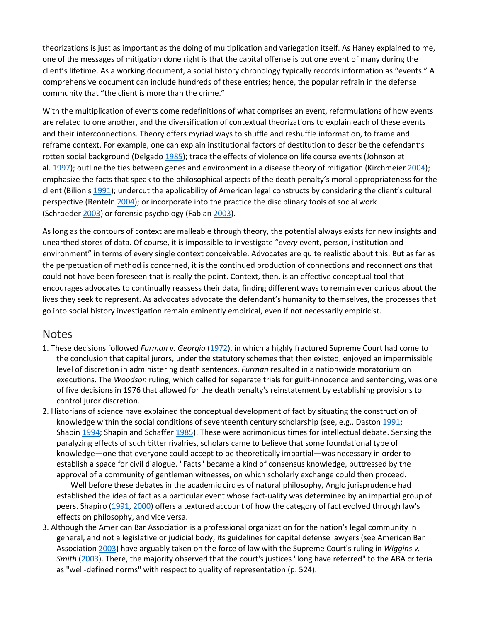theorizations is just as important as the doing of multiplication and variegation itself. As Haney explained to me, one of the messages of mitigation done right is that the capital offense is but one event of many during the client's lifetime. As a working document, a social history chronology typically records information as "events." A comprehensive document can include hundreds of these entries; hence, the popular refrain in the defense community that "the client is more than the crime."

With the multiplication of events come redefinitions of what comprises an event, reformulations of how events are related to one another, and the diversification of contextual theorizations to explain each of these events and their interconnections. Theory offers myriad ways to shuffle and reshuffle information, to frame and reframe context. For example, one can explain institutional factors of destitution to describe the defendant's rotten social background (Delgado [1985\)](https://link.springer.com/article/10.1007/s10612-009-9076-x#ref-CR15); trace the effects of violence on life course events (Johnson et al. [1997\)](https://link.springer.com/article/10.1007/s10612-009-9076-x#ref-CR29); outline the ties between genes and environment in a disease theory of mitigation (Kirchmeier [2004\)](https://link.springer.com/article/10.1007/s10612-009-9076-x#ref-CR32); emphasize the facts that speak to the philosophical aspects of the death penalty's moral appropriateness for the client (Bilionis [1991\)](https://link.springer.com/article/10.1007/s10612-009-9076-x#ref-CR7); undercut the applicability of American legal constructs by considering the client's cultural perspective (Renteln [2004\)](https://link.springer.com/article/10.1007/s10612-009-9076-x#ref-CR42); or incorporate into the practice the disciplinary tools of social work (Schroeder [2003\)](https://link.springer.com/article/10.1007/s10612-009-9076-x#ref-CR17) or forensic psychology (Fabian 2003).

As long as the contours of context are malleable through theory, the potential always exists for new insights and unearthed stores of data. Of course, it is impossible to investigate "*every* event, person, institution and environment" in terms of every single context conceivable. Advocates are quite realistic about this. But as far as the perpetuation of method is concerned, it is the continued production of connections and reconnections that could not have been foreseen that is really the point. Context, then, is an effective conceptual tool that encourages advocates to continually reassess their data, finding different ways to remain ever curious about the lives they seek to represent. As advocates advocate the defendant's humanity to themselves, the processes that go into social history investigation remain eminently empirical, even if not necessarily empiricist.

### **Notes**

- 1. These decisions followed *Furman v. Georgia* [\(1972\)](https://link.springer.com/article/10.1007/s10612-009-9076-x#ref-CR53), in which a highly fractured Supreme Court had come to the conclusion that capital jurors, under the statutory schemes that then existed, enjoyed an impermissible level of discretion in administering death sentences. *Furman* resulted in a nationwide moratorium on executions. The *Woodson* ruling, which called for separate trials for guilt-innocence and sentencing, was one of five decisions in 1976 that allowed for the death penalty's reinstatement by establishing provisions to control juror discretion.
- 2. Historians of science have explained the conceptual development of fact by situating the construction of knowledge within the social conditions of seventeenth century scholarship (see, e.g., Daston [1991;](https://link.springer.com/article/10.1007/s10612-009-9076-x#ref-CR12) Shapin [1994;](https://link.springer.com/article/10.1007/s10612-009-9076-x#ref-CR44) Shapin and Schaffer [1985\)](https://link.springer.com/article/10.1007/s10612-009-9076-x#ref-CR45). These were acrimonious times for intellectual debate. Sensing the paralyzing effects of such bitter rivalries, scholars came to believe that some foundational type of knowledge—one that everyone could accept to be theoretically impartial—was necessary in order to establish a space for civil dialogue. "Facts" became a kind of consensus knowledge, buttressed by the approval of a community of gentleman witnesses, on which scholarly exchange could then proceed.

Well before these debates in the academic circles of natural philosophy, Anglo jurisprudence had established the idea of fact as a particular event whose fact-uality was determined by an impartial group of peers. Shapiro [\(1991,](https://link.springer.com/article/10.1007/s10612-009-9076-x#ref-CR46) [2000\)](https://link.springer.com/article/10.1007/s10612-009-9076-x#ref-CR47) offers a textured account of how the category of fact evolved through law's effects on philosophy, and vice versa.

3. Although the American Bar Association is a professional organization for the nation's legal community in general, and not a legislative or judicial body, its guidelines for capital defense lawyers (see American Bar Association [2003\)](https://link.springer.com/article/10.1007/s10612-009-9076-x#ref-CR1) have arguably taken on the force of law with the Supreme Court's ruling in *Wiggins v. Smith* [\(2003\)](https://link.springer.com/article/10.1007/s10612-009-9076-x#ref-CR57). There, the majority observed that the court's justices "long have referred" to the ABA criteria as "well-defined norms" with respect to quality of representation (p. 524).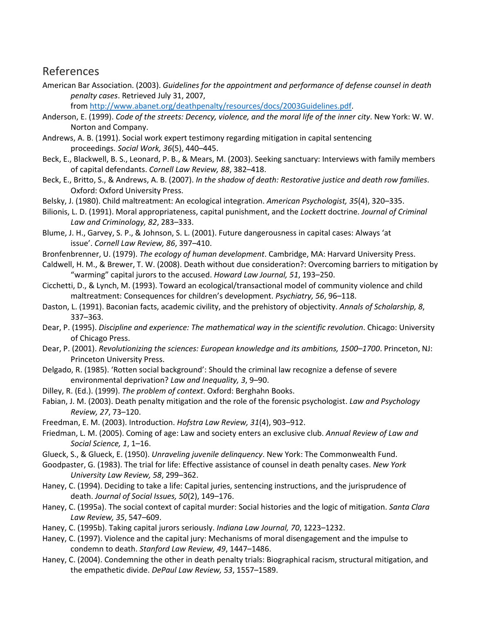### References

American Bar Association. (2003). *Guidelines for the appointment and performance of defense counsel in death penalty cases*. Retrieved July 31, 2007,

from [http://www.abanet.org/deathpenalty/resources/docs/2003Guidelines.pdf.](http://www.abanet.org/deathpenalty/resources/docs/2003Guidelines.pdf)

- Anderson, E. (1999). *Code of the streets: Decency, violence, and the moral life of the inner city*. New York: W. W. Norton and Company.
- Andrews, A. B. (1991). Social work expert testimony regarding mitigation in capital sentencing proceedings. *Social Work, 36*(5), 440–445.
- Beck, E., Blackwell, B. S., Leonard, P. B., & Mears, M. (2003). Seeking sanctuary: Interviews with family members of capital defendants. *Cornell Law Review, 88*, 382–418.
- Beck, E., Britto, S., & Andrews, A. B. (2007). *In the shadow of death: Restorative justice and death row families*. Oxford: Oxford University Press.
- Belsky, J. (1980). Child maltreatment: An ecological integration. *American Psychologist, 35*(4), 320–335.
- Bilionis, L. D. (1991). Moral appropriateness, capital punishment, and the *Lockett* doctrine. *Journal of Criminal Law and Criminology, 82*, 283–333.
- Blume, J. H., Garvey, S. P., & Johnson, S. L. (2001). Future dangerousness in capital cases: Always 'at issue'. *Cornell Law Review, 86*, 397–410.
- Bronfenbrenner, U. (1979). *The ecology of human development*. Cambridge, MA: Harvard University Press.
- Caldwell, H. M., & Brewer, T. W. (2008). Death without due consideration?: Overcoming barriers to mitigation by "warming" capital jurors to the accused. *Howard Law Journal, 51*, 193–250.
- Cicchetti, D., & Lynch, M. (1993). Toward an ecological/transactional model of community violence and child maltreatment: Consequences for children's development. *Psychiatry, 56*, 96–118.
- Daston, L. (1991). Baconian facts, academic civility, and the prehistory of objectivity. *Annals of Scholarship, 8*, 337–363.
- Dear, P. (1995). *Discipline and experience: The mathematical way in the scientific revolution*. Chicago: University of Chicago Press.
- Dear, P. (2001). *Revolutionizing the sciences: European knowledge and its ambitions, 1500–1700*. Princeton, NJ: Princeton University Press.
- Delgado, R. (1985). 'Rotten social background': Should the criminal law recognize a defense of severe environmental deprivation? *Law and Inequality, 3*, 9–90.
- Dilley, R. (Ed.). (1999). *The problem of context*. Oxford: Berghahn Books.

Fabian, J. M. (2003). Death penalty mitigation and the role of the forensic psychologist. *Law and Psychology Review, 27*, 73–120.

- Freedman, E. M. (2003). Introduction. *Hofstra Law Review, 31*(4), 903–912.
- Friedman, L. M. (2005). Coming of age: Law and society enters an exclusive club. *Annual Review of Law and Social Science, 1*, 1–16.
- Glueck, S., & Glueck, E. (1950). *Unraveling juvenile delinquency*. New York: The Commonwealth Fund.
- Goodpaster, G. (1983). The trial for life: Effective assistance of counsel in death penalty cases. *New York University Law Review, 58*, 299–362.
- Haney, C. (1994). Deciding to take a life: Capital juries, sentencing instructions, and the jurisprudence of death. *Journal of Social Issues, 50*(2), 149–176.
- Haney, C. (1995a). The social context of capital murder: Social histories and the logic of mitigation. *Santa Clara Law Review, 35*, 547–609.
- Haney, C. (1995b). Taking capital jurors seriously. *Indiana Law Journal, 70*, 1223–1232.
- Haney, C. (1997). Violence and the capital jury: Mechanisms of moral disengagement and the impulse to condemn to death. *Stanford Law Review, 49*, 1447–1486.
- Haney, C. (2004). Condemning the other in death penalty trials: Biographical racism, structural mitigation, and the empathetic divide. *DePaul Law Review, 53*, 1557–1589.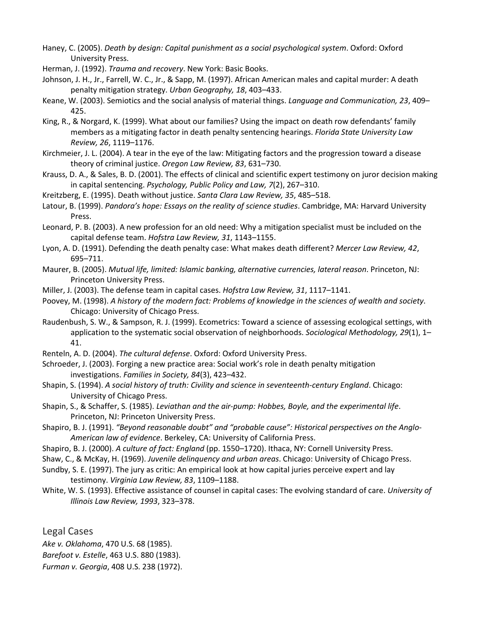- Haney, C. (2005). *Death by design: Capital punishment as a social psychological system*. Oxford: Oxford University Press.
- Herman, J. (1992). *Trauma and recovery*. New York: Basic Books.
- Johnson, J. H., Jr., Farrell, W. C., Jr., & Sapp, M. (1997). African American males and capital murder: A death penalty mitigation strategy. *Urban Geography, 18*, 403–433.
- Keane, W. (2003). Semiotics and the social analysis of material things. *Language and Communication, 23*, 409– 425.
- King, R., & Norgard, K. (1999). What about our families? Using the impact on death row defendants' family members as a mitigating factor in death penalty sentencing hearings. *Florida State University Law Review, 26*, 1119–1176.
- Kirchmeier, J. L. (2004). A tear in the eye of the law: Mitigating factors and the progression toward a disease theory of criminal justice. *Oregon Law Review, 83*, 631–730.
- Krauss, D. A., & Sales, B. D. (2001). The effects of clinical and scientific expert testimony on juror decision making in capital sentencing. *Psychology, Public Policy and Law, 7*(2), 267–310.
- Kreitzberg, E. (1995). Death without justice. *Santa Clara Law Review, 35*, 485–518.
- Latour, B. (1999). *Pandora's hope: Essays on the reality of science studies*. Cambridge, MA: Harvard University Press.
- Leonard, P. B. (2003). A new profession for an old need: Why a mitigation specialist must be included on the capital defense team. *Hofstra Law Review, 31*, 1143–1155.
- Lyon, A. D. (1991). Defending the death penalty case: What makes death different? *Mercer Law Review, 42*, 695–711.
- Maurer, B. (2005). *Mutual life, limited: Islamic banking, alternative currencies, lateral reason*. Princeton, NJ: Princeton University Press.
- Miller, J. (2003). The defense team in capital cases. *Hofstra Law Review, 31*, 1117–1141.
- Poovey, M. (1998). *A history of the modern fact: Problems of knowledge in the sciences of wealth and society*. Chicago: University of Chicago Press.
- Raudenbush, S. W., & Sampson, R. J. (1999). Ecometrics: Toward a science of assessing ecological settings, with application to the systematic social observation of neighborhoods. *Sociological Methodology, 29*(1), 1– 41.
- Renteln, A. D. (2004). *The cultural defense*. Oxford: Oxford University Press.
- Schroeder, J. (2003). Forging a new practice area: Social work's role in death penalty mitigation investigations. *Families in Society, 84*(3), 423–432.
- Shapin, S. (1994). *A social history of truth: Civility and science in seventeenth-century England*. Chicago: University of Chicago Press.
- Shapin, S., & Schaffer, S. (1985). *Leviathan and the air-pump: Hobbes, Boyle, and the experimental life*. Princeton, NJ: Princeton University Press.
- Shapiro, B. J. (1991). *"Beyond reasonable doubt" and "probable cause": Historical perspectives on the Anglo-American law of evidence*. Berkeley, CA: University of California Press.
- Shapiro, B. J. (2000). *A culture of fact: England* (pp. 1550–1720). Ithaca, NY: Cornell University Press.
- Shaw, C., & McKay, H. (1969). *Juvenile delinquency and urban areas*. Chicago: University of Chicago Press.
- Sundby, S. E. (1997). The jury as critic: An empirical look at how capital juries perceive expert and lay testimony. *Virginia Law Review, 83*, 1109–1188.
- White, W. S. (1993). Effective assistance of counsel in capital cases: The evolving standard of care. *University of Illinois Law Review, 1993*, 323–378.

Legal Cases

*Ake v. Oklahoma*, 470 U.S. 68 (1985).

*Barefoot v. Estelle*, 463 U.S. 880 (1983).

*Furman v. Georgia*, 408 U.S. 238 (1972).